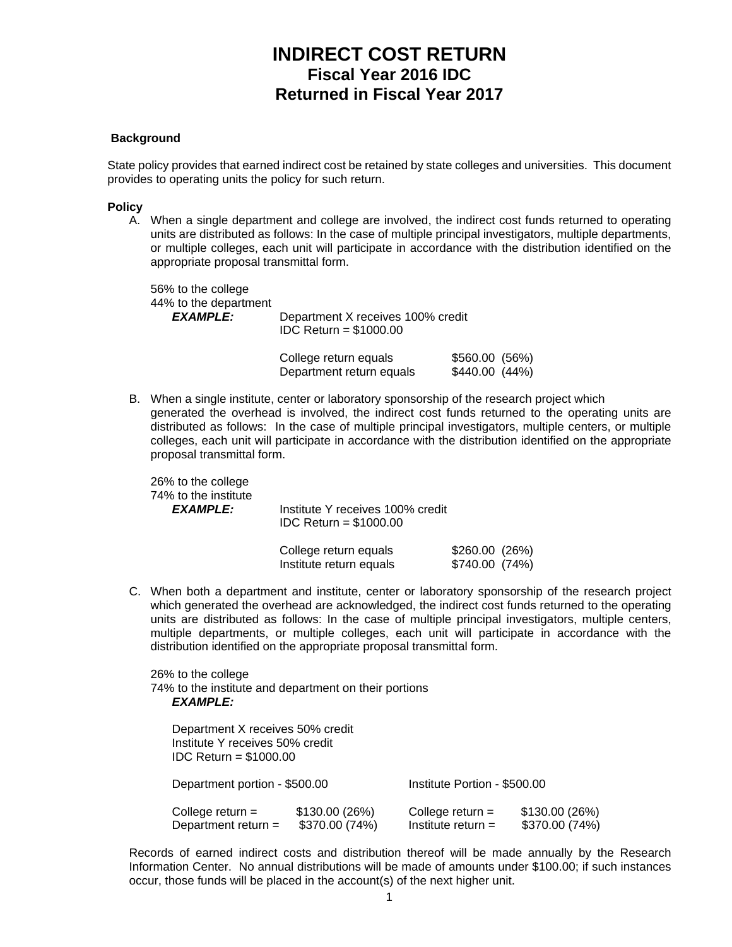# **INDIRECT COST RETURN Fiscal Year 2016 IDC Returned in Fiscal Year 2017**

#### **Background**

State policy provides that earned indirect cost be retained by state colleges and universities. This document provides to operating units the policy for such return.

#### **Policy**

A. When a single department and college are involved, the indirect cost funds returned to operating units are distributed as follows: In the case of multiple principal investigators, multiple departments, or multiple colleges, each unit will participate in accordance with the distribution identified on the appropriate proposal transmittal form.

 56% to the college 44% to the department *EXAMPLE:* Department X receives 100% credit IDC Return = \$1000.00

| College return equals    | $$560.00$ (56%) |
|--------------------------|-----------------|
| Department return equals | \$440.00 (44%)  |

B. When a single institute, center or laboratory sponsorship of the research project which generated the overhead is involved, the indirect cost funds returned to the operating units are distributed as follows: In the case of multiple principal investigators, multiple centers, or multiple colleges, each unit will participate in accordance with the distribution identified on the appropriate proposal transmittal form.

 26% to the college 74% to the institute

 *EXAMPLE:* Institute Y receives 100% credit IDC Return = \$1000.00

| College return equals   | \$260.00(26%)  |  |
|-------------------------|----------------|--|
| Institute return equals | \$740.00 (74%) |  |

C. When both a department and institute, center or laboratory sponsorship of the research project which generated the overhead are acknowledged, the indirect cost funds returned to the operating units are distributed as follows: In the case of multiple principal investigators, multiple centers, multiple departments, or multiple colleges, each unit will participate in accordance with the distribution identified on the appropriate proposal transmittal form.

 26% to the college 74% to the institute and department on their portions *EXAMPLE:* 

| Department X receives 50% credit<br>Institute Y receives 50% credit<br>$IDC$ Return = \$1000.00 |                                  |                                            |                                 |
|-------------------------------------------------------------------------------------------------|----------------------------------|--------------------------------------------|---------------------------------|
| Department portion - \$500.00                                                                   |                                  | Institute Portion - \$500.00               |                                 |
| College return $=$<br>Department return =                                                       | \$130.00 (26%)<br>\$370.00 (74%) | College return $=$<br>Institute return $=$ | \$130.00(26%)<br>\$370.00 (74%) |

 Records of earned indirect costs and distribution thereof will be made annually by the Research Information Center. No annual distributions will be made of amounts under \$100.00; if such instances occur, those funds will be placed in the account(s) of the next higher unit.